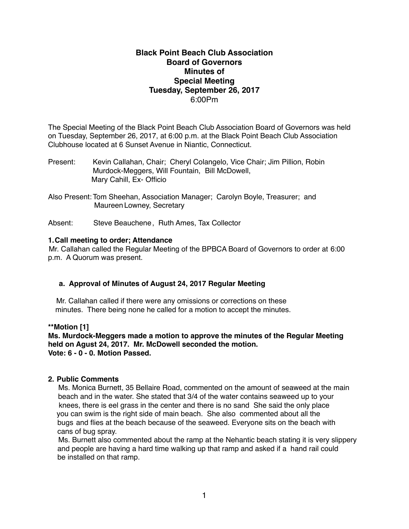# **Black Point Beach Club Association Board of Governors Minutes of Special Meeting Tuesday, September 26, 2017** 6:00Pm

The Special Meeting of the Black Point Beach Club Association Board of Governors was held on Tuesday, September 26, 2017, at 6:00 p.m. at the Black Point Beach Club Association Clubhouse located at 6 Sunset Avenue in Niantic, Connecticut.

- Present: Kevin Callahan, Chair; Cheryl Colangelo, Vice Chair; Jim Pillion, Robin Murdock-Meggers, Will Fountain, Bill McDowell, Mary Cahill, Ex- Officio
- Also Present: Tom Sheehan, Association Manager; Carolyn Boyle, Treasurer; and Maureen Lowney, Secretary

Absent: Steve Beauchene, Ruth Ames, Tax Collector

## **1.Call meeting to order; Attendance**

Mr. Callahan called the Regular Meeting of the BPBCA Board of Governors to order at 6:00 p.m. A Quorum was present.

# **a. Approval of Minutes of August 24, 2017 Regular Meeting**

Mr. Callahan called if there were any omissions or corrections on these minutes. There being none he called for a motion to accept the minutes.

## **\*\*Motion [1]**

**Ms. Murdock-Meggers made a motion to approve the minutes of the Regular Meeting held on Agust 24, 2017. Mr. McDowell seconded the motion. Vote: 6 - 0 - 0. Motion Passed.**

### **2. Public Comments**

Ms. Monica Burnett, 35 Bellaire Road, commented on the amount of seaweed at the main beach and in the water. She stated that 3/4 of the water contains seaweed up to your knees, there is eel grass in the center and there is no sand She said the only place you can swim is the right side of main beach. She also commented about all the bugs and flies at the beach because of the seaweed. Everyone sits on the beach with cans of bug spray.

 Ms. Burnett also commented about the ramp at the Nehantic beach stating it is very slippery and people are having a hard time walking up that ramp and asked if a hand rail could be installed on that ramp.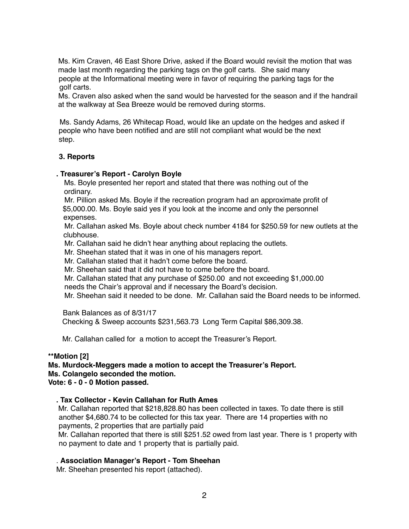Ms. Kim Craven, 46 East Shore Drive, asked if the Board would revisit the motion that was made last month regarding the parking tags on the golf carts. She said many people at the Informational meeting were in favor of requiring the parking tags for the golf carts.

 Ms. Craven also asked when the sand would be harvested for the season and if the handrail at the walkway at Sea Breeze would be removed during storms.

 Ms. Sandy Adams, 26 Whitecap Road, would like an update on the hedges and asked if people who have been notified and are still not compliant what would be the next step.

## **3. Reports**

### **. Treasurer's Report - Carolyn Boyle**

Ms. Boyle presented her report and stated that there was nothing out of the ordinary.

 Mr. Pillion asked Ms. Boyle if the recreation program had an approximate profit of \$5,000.00. Ms. Boyle said yes if you look at the income and only the personnel expenses.

 Mr. Callahan asked Ms. Boyle about check number 4184 for \$250.59 for new outlets at the clubhouse.

Mr. Callahan said he didn't hear anything about replacing the outlets.

Mr. Sheehan stated that it was in one of his managers report.

Mr. Callahan stated that it hadn't come before the board.

Mr. Sheehan said that it did not have to come before the board.

Mr. Callahan stated that any purchase of \$250.00 and not exceeding \$1,000.00

needs the Chair's approval and if necessary the Board's decision.

Mr. Sheehan said it needed to be done. Mr. Callahan said the Board needs to be informed.

 Bank Balances as of 8/31/17 Checking & Sweep accounts \$231,563.73 Long Term Capital \$86,309.38.

Mr. Callahan called for a motion to accept the Treasurer's Report.

### **\*\*Motion [2]**

**Ms. Murdock-Meggers made a motion to accept the Treasurer's Report. Ms. Colangelo seconded the motion. Vote: 6 - 0 - 0 Motion passed.**

 **. Tax Collector - Kevin Callahan for Ruth Ames**

Mr. Callahan reported that \$218,828.80 has been collected in taxes. To date there is still another \$4,680.74 to be collected for this tax year. There are 14 properties with no payments, 2 properties that are partially paid

Mr. Callahan reported that there is still \$251.52 owed from last year. There is 1 property with no payment to date and 1 property that is partially paid.

### . **Association Manager's Report - Tom Sheehan**

Mr. Sheehan presented his report (attached).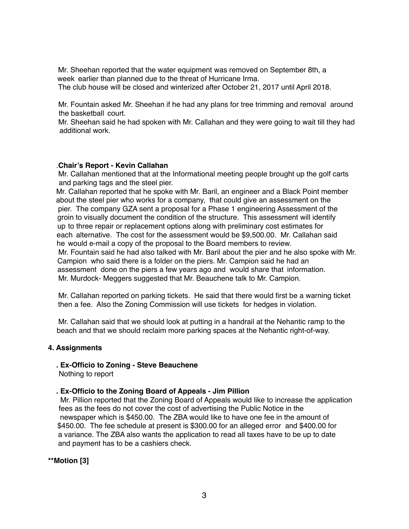Mr. Sheehan reported that the water equipment was removed on September 8th, a week earlier than planned due to the threat of Hurricane Irma.

The club house will be closed and winterized after October 21, 2017 until April 2018.

 Mr. Fountain asked Mr. Sheehan if he had any plans for tree trimming and removal around the basketball court.

 Mr. Sheehan said he had spoken with Mr. Callahan and they were going to wait till they had additional work.

## .**Chair's Report - Kevin Callahan**

Mr. Callahan mentioned that at the Informational meeting people brought up the golf carts and parking tags and the steel pier.

 Mr. Callahan reported that he spoke with Mr. Baril, an engineer and a Black Point member about the steel pier who works for a company, that could give an assessment on the pier. The company GZA sent a proposal for a Phase 1 engineering Assessment of the groin to visually document the condition of the structure. This assessment will identify up to three repair or replacement options along with preliminary cost estimates for each alternative. The cost for the assessment would be \$9,500.00. Mr. Callahan said he would e-mail a copy of the proposal to the Board members to review. Mr. Fountain said he had also talked with Mr. Baril about the pier and he also spoke with Mr. Campion who said there is a folder on the piers. Mr. Campion said he had an assessment done on the piers a few years ago and would share that information. Mr. Murdock- Meggers suggested that Mr. Beauchene talk to Mr. Campion.

 Mr. Callahan reported on parking tickets. He said that there would first be a warning ticket then a fee. Also the Zoning Commission will use tickets for hedges in violation.

 Mr. Callahan said that we should look at putting in a handrail at the Nehantic ramp to the beach and that we should reclaim more parking spaces at the Nehantic right-of-way.

### **4. Assignments**

**. Ex-Officio to Zoning - Steve Beauchene** 

Nothing to report

# **. Ex-Officio to the Zoning Board of Appeals - Jim Pillion**

Mr. Pillion reported that the Zoning Board of Appeals would like to increase the application fees as the fees do not cover the cost of advertising the Public Notice in the newspaper which is \$450.00. The ZBA would like to have one fee in the amount of \$450.00. The fee schedule at present is \$300.00 for an alleged error and \$400.00 for a variance. The ZBA also wants the application to read all taxes have to be up to date and payment has to be a cashiers check.

**\*\*Motion [3]**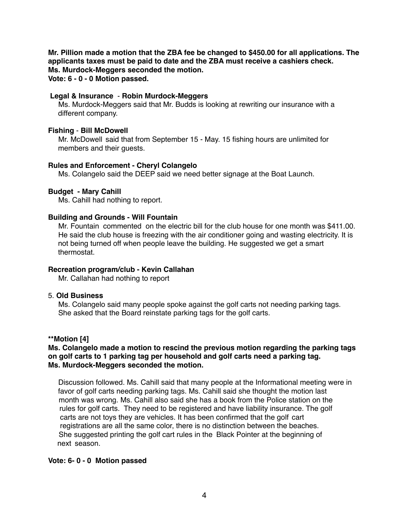**Mr. Pillion made a motion that the ZBA fee be changed to \$450.00 for all applications. The applicants taxes must be paid to date and the ZBA must receive a cashiers check. Ms. Murdock-Meggers seconded the motion. Vote: 6 - 0 - 0 Motion passed.**

### **Legal & Insurance** - **Robin Murdock-Meggers**

 Ms. Murdock-Meggers said that Mr. Budds is looking at rewriting our insurance with a different company.

### **Fishing** - **Bill McDowell**

Mr. McDowell said that from September 15 - May. 15 fishing hours are unlimited for members and their guests.

## **Rules and Enforcement - Cheryl Colangelo**

Ms. Colangelo said the DEEP said we need better signage at the Boat Launch.

## **Budget - Mary Cahill**

Ms. Cahill had nothing to report.

## **Building and Grounds - Will Fountain**

Mr. Fountaincommented on the electric bill for the club house for one month was \$411.00. He said the club house is freezing with the air conditioner going and wasting electricity. It is not being turned off when people leave the building. He suggested we get a smart thermostat.

### **Recreation program/club - Kevin Callahan**

Mr. Callahan had nothing to report

### 5. **Old Business**

Ms. Colangelo said many people spoke against the golf carts not needing parking tags. She asked that the Board reinstate parking tags for the golf carts.

### **\*\*Motion [4]**

## **Ms. Colangelo made a motion to rescind the previous motion regarding the parking tags on golf carts to 1 parking tag per household and golf carts need a parking tag. Ms. Murdock-Meggers seconded the motion.**

Discussion followed. Ms. Cahill said that many people at the Informational meeting were in favor of golf carts needing parking tags. Ms. Cahill said she thought the motion last month was wrong. Ms. Cahill also said she has a book from the Police station on the rules for golf carts. They need to be registered and have liability insurance. The golf carts are not toys they are vehicles. It has been confirmed that the golf cart registrations are all the same color, there is no distinction between the beaches. She suggested printing the golf cart rules in the Black Pointer at the beginning of next season.

### **Vote: 6- 0 - 0 Motion passed**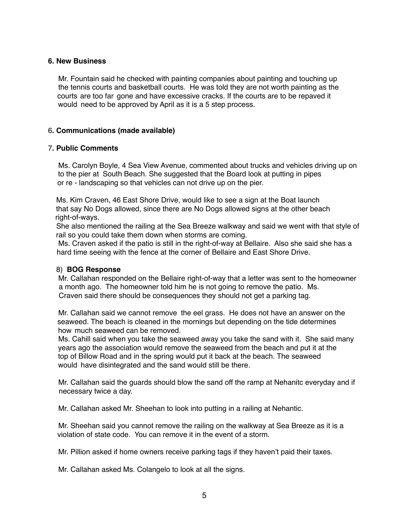## **6. New Business**

Mr. Fountain said he checked with painting companies about painting and touching up the tennis courts and basketball courts. He was told they are not worth painting as the courts are too far gone and have excessive cracks. If the courts are to be repaved it would need to be approved by April as it is a 5 step process.

## 6**. Communications (made available)**

## 7**. Public Comments**

Ms. Carolyn Boyle, 4 Sea View Avenue, commented about trucks and vehicles driving up on to the pier at South Beach. She suggested that the Board look at putting in pipes or re - landscaping so that vehicles can not drive up on the pier.

 Ms. Kim Craven, 46 East Shore Drive, would like to see a sign at the Boat launch that say No Dogs allowed, since there are No Dogs allowed signs at the other beach right-of-ways.

 She also mentioned the railing at the Sea Breeze walkway and said we went with that style of rail so you could take them down when storms are coming.

 Ms. Craven asked if the patio is still in the right-of-way at Bellaire. Also she said she has a hard time seeing with the fence at the corner of Bellaire and East Shore Drive.

### 8) **BOG Response**

Mr. Callahan responded on the Bellaire right-of-way that a letter was sent to the homeowner a month ago. The homeowner told him he is not going to remove the patio. Ms. Craven said there should be consequences they should not get a parking tag.

 Mr. Callahan said we cannot remove the eel grass. He does not have an answer on the seaweed. The beach is cleaned in the mornings but depending on the tide determines how much seaweed can be removed.

 Ms. Cahill said when you take the seaweed away you take the sand with it. She said many years ago the association would remove the seaweed from the beach and put it at the top of Billow Road and in the spring would put it back at the beach. The seaweed would have disintegrated and the sand would still be there.

 Mr. Callahan said the guards should blow the sand off the ramp at Nehanitc everyday and if necessary twice a day.

Mr. Callahan asked Mr. Sheehan to look into putting in a railing at Nehantic.

 Mr. Sheehan said you cannot remove the railing on the walkway at Sea Breeze as it is a violation of state code. You can remove it in the event of a storm.

Mr. Pillion asked if home owners receive parking tags if they haven't paid their taxes.

Mr. Callahan asked Ms. Colangelo to look at all the signs.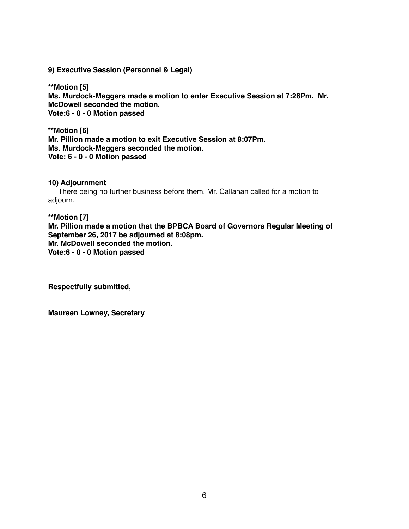**9) Executive Session (Personnel & Legal)**

**\*\*Motion [5] Ms. Murdock-Meggers made a motion to enter Executive Session at 7:26Pm. Mr. McDowell seconded the motion. Vote:6 - 0 - 0 Motion passed**

**\*\*Motion [6] Mr. Pillion made a motion to exit Executive Session at 8:07Pm. Ms. Murdock-Meggers seconded the motion. Vote: 6 - 0 - 0 Motion passed**

# **10) Adjournment**

There being no further business before them, Mr. Callahan called for a motion to adjourn.

**\*\*Motion [7] Mr. Pillion made a motion that the BPBCA Board of Governors Regular Meeting of September 26, 2017 be adjourned at 8:08pm. Mr. McDowell seconded the motion. Vote:6 - 0 - 0 Motion passed**

**Respectfully submitted,**

**Maureen Lowney, Secretary**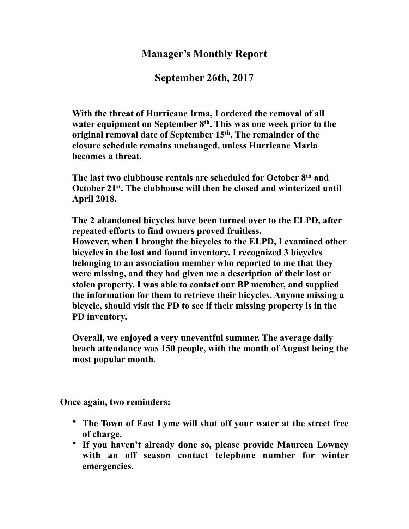# **Manager's Monthly Report**

**September 26th, 2017**

**With the threat of Hurricane Irma, I ordered the removal of all water equipment on September 8th. This was one week prior to the original removal date of September 15th. The remainder of the closure schedule remains unchanged, unless Hurricane Maria becomes a threat.**

**The last two clubhouse rentals are scheduled for October 8th and October 21st. The clubhouse will then be closed and winterized until April 2018.**

**The 2 abandoned bicycles have been turned over to the ELPD, after repeated efforts to find owners proved fruitless. However, when I brought the bicycles to the ELPD, I examined other bicycles in the lost and found inventory. I recognized 3 bicycles belonging to an association member who reported to me that they were missing, and they had given me a description of their lost or stolen property. I was able to contact our BP member, and supplied the information for them to retrieve their bicycles. Anyone missing a bicycle, should visit the PD to see if their missing property is in the PD inventory.**

**Overall, we enjoyed a very uneventful summer. The average daily beach attendance was 150 people, with the month of August being the most popular month.**

**Once again, two reminders:**

- **The Town of East Lyme will shut off your water at the street free of charge.**
- **If you haven't already done so, please provide Maureen Lowney with an off season contact telephone number for winter emergencies.**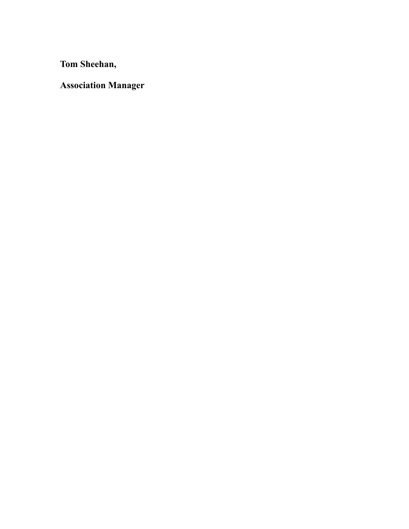**Tom Sheehan,**

**Association Manager**